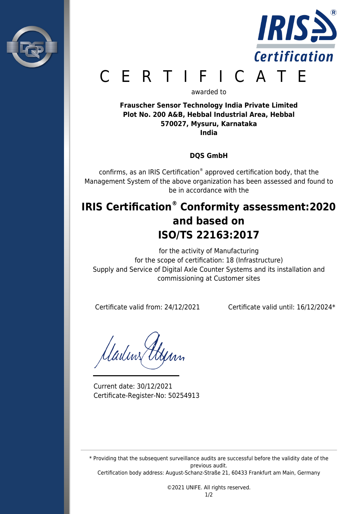



# E R T I F I C A T E

awarded to

**Frauscher Sensor Technology India Private Limited Plot No. 200 A&B, Hebbal Industrial Area, Hebbal 570027, Mysuru, Karnataka India**

## **DQS GmbH**

confirms, as an IRIS Certification® approved certification body, that the Management System of the above organization has been assessed and found to be in accordance with the

# **IRIS Certification® Conformity assessment:2020 and based on ISO/TS 22163:2017**

for the activity of Manufacturing for the scope of certification: 18 (Infrastructure) Supply and Service of Digital Axle Counter Systems and its installation and commissioning at Customer sites

Certificate valid from: 24/12/2021 Certificate valid until: 16/12/2024\*

Madins A

Current date: 30/12/2021 Certificate-Register-No: 50254913

\* Providing that the subsequent surveillance audits are successful before the validity date of the previous audit.

Certification body address: August-Schanz-Straße 21, 60433 Frankfurt am Main, Germany

©2021 UNIFE. All rights reserved.